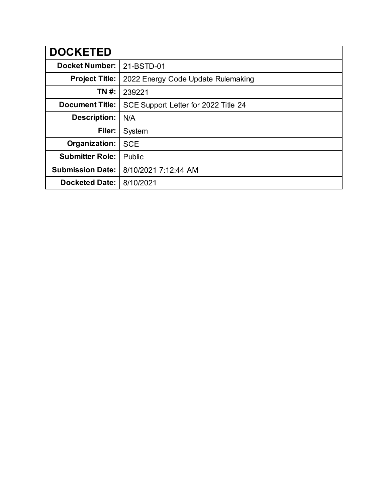| <b>DOCKETED</b>         |                                      |
|-------------------------|--------------------------------------|
| <b>Docket Number:</b>   | 21-BSTD-01                           |
| <b>Project Title:</b>   | 2022 Energy Code Update Rulemaking   |
| TN #:                   | 239221                               |
| <b>Document Title:</b>  | SCE Support Letter for 2022 Title 24 |
| <b>Description:</b>     | N/A                                  |
| Filer:                  | System                               |
| Organization:           | <b>SCE</b>                           |
| <b>Submitter Role:</b>  | Public                               |
| <b>Submission Date:</b> | 8/10/2021 7:12:44 AM                 |
| <b>Docketed Date:</b>   | 8/10/2021                            |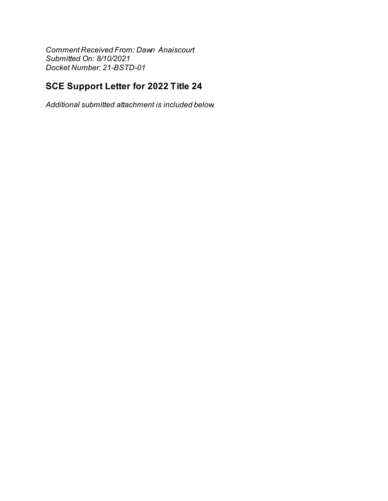Comment Received From: Dawn Anaiscourt Submitted On: 8/10/2021 Docket Number: 21-BSTD-01

## SCE Support Letter for 2022 Title 24

Additional submitted attachment is included below.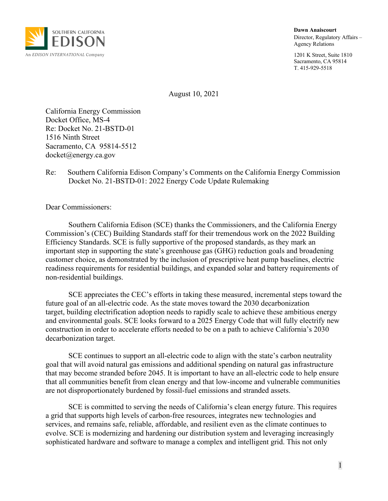

**Dawn Anaiscourt**  Director, Regulatory Affairs – Agency Relations

1201 K Street, Suite 1810 Sacramento, CA 95814 T. 415-929-5518

August 10, 2021

California Energy Commission Docket Office, MS-4 Re: Docket No. 21-BSTD-01 1516 Ninth Street Sacramento, CA 95814-5512 docket@energy.ca.gov

Re: Southern California Edison Company's Comments on the California Energy Commission Docket No. 21-BSTD-01: 2022 Energy Code Update Rulemaking

Dear Commissioners:

Southern California Edison (SCE) thanks the Commissioners, and the California Energy Commission's (CEC) Building Standards staff for their tremendous work on the 2022 Building Efficiency Standards. SCE is fully supportive of the proposed standards, as they mark an important step in supporting the state's greenhouse gas (GHG) reduction goals and broadening customer choice, as demonstrated by the inclusion of prescriptive heat pump baselines, electric readiness requirements for residential buildings, and expanded solar and battery requirements of non-residential buildings.

SCE appreciates the CEC's efforts in taking these measured, incremental steps toward the future goal of an all-electric code. As the state moves toward the 2030 decarbonization target, building electrification adoption needs to rapidly scale to achieve these ambitious energy and environmental goals. SCE looks forward to a 2025 Energy Code that will fully electrify new construction in order to accelerate efforts needed to be on a path to achieve California's 2030 decarbonization target.

SCE continues to support an all-electric code to align with the state's carbon neutrality goal that will avoid natural gas emissions and additional spending on natural gas infrastructure that may become stranded before 2045. It is important to have an all-electric code to help ensure that all communities benefit from clean energy and that low-income and vulnerable communities are not disproportionately burdened by fossil-fuel emissions and stranded assets.

SCE is committed to serving the needs of California's clean energy future. This requires a grid that supports high levels of carbon-free resources, integrates new technologies and services, and remains safe, reliable, affordable, and resilient even as the climate continues to evolve. SCE is modernizing and hardening our distribution system and leveraging increasingly sophisticated hardware and software to manage a complex and intelligent grid. This not only